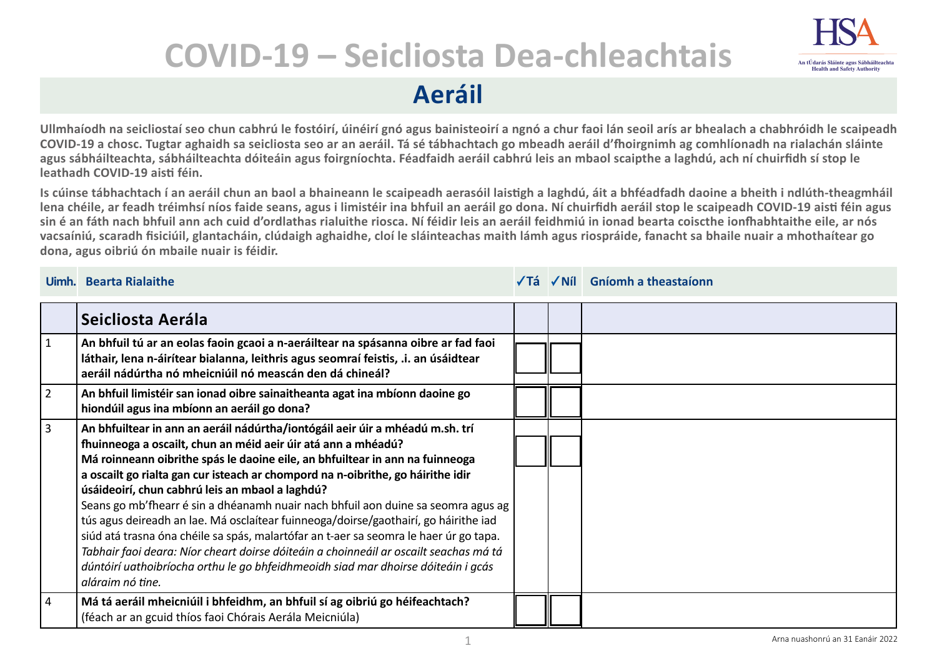## **COVID-19 – Seicliosta Dea-chleachtais**



**Aeráil**

**Ullmhaíodh na seicliostaí seo chun cabhrú le fostóirí, úinéirí gnó agus bainisteoirí a ngnó a chur faoi lán seoil arís ar bhealach a chabhróidh le scaipeadh COVID-19 a chosc. Tugtar aghaidh sa seicliosta seo ar an aeráil. Tá sé tábhachtach go mbeadh aeráil d'fhoirgnimh ag comhlíonadh na rialachán sláinte agus sábháilteachta, sábháilteachta dóiteáin agus foirgníochta. Féadfaidh aeráil cabhrú leis an mbaol scaipthe a laghdú, ach ní chuirfidh sí stop le leathadh COVID-19 aisti féin.**

**Is cúinse tábhachtach í an aeráil chun an baol a bhaineann le scaipeadh aerasóil laistigh a laghdú, áit a bhféadfadh daoine a bheith i ndlúth-theagmháil lena chéile, ar feadh tréimhsí níos faide seans, agus i limistéir ina bhfuil an aeráil go dona. Ní chuirfidh aeráil stop le scaipeadh COVID-19 aisti féin agus sin é an fáth nach bhfuil ann ach cuid d'ordlathas rialuithe riosca. Ní féidir leis an aeráil feidhmiú in ionad bearta coiscthe ionfhabhtaithe eile, ar nós vacsaíniú, scaradh fisiciúil, glantacháin, clúdaigh aghaidhe, cloí le sláinteachas maith lámh agus riospráide, fanacht sa bhaile nuair a mhothaítear go dona, agus oibriú ón mbaile nuair is féidir.**

## **Uimh. Bearta Rialaithe Tá Níl Gníomh a theastaíonn**

|                | Seicliosta Aerála                                                                                                                                                                                                                                                                                                                                                                                                                                                                                                                                                                                                                                                                                                                                                                                                                           |  |  |
|----------------|---------------------------------------------------------------------------------------------------------------------------------------------------------------------------------------------------------------------------------------------------------------------------------------------------------------------------------------------------------------------------------------------------------------------------------------------------------------------------------------------------------------------------------------------------------------------------------------------------------------------------------------------------------------------------------------------------------------------------------------------------------------------------------------------------------------------------------------------|--|--|
| $\vert$ 1      | An bhfuil tú ar an eolas faoin gcaoi a n-aeráiltear na spásanna oibre ar fad faoi<br>láthair, lena n-áirítear bialanna, leithris agus seomraí feistis, .i. an úsáidtear<br>aeráil nádúrtha nó mheicniúil nó meascán den dá chineál?                                                                                                                                                                                                                                                                                                                                                                                                                                                                                                                                                                                                         |  |  |
| $\overline{2}$ | An bhfuil limistéir san ionad oibre sainaitheanta agat ina mbíonn daoine go<br>hiondúil agus ina mbíonn an aeráil go dona?                                                                                                                                                                                                                                                                                                                                                                                                                                                                                                                                                                                                                                                                                                                  |  |  |
| l 3            | An bhfuiltear in ann an aeráil nádúrtha/iontógáil aeir úir a mhéadú m.sh. trí<br>fhuinneoga a oscailt, chun an méid aeir úir atá ann a mhéadú?<br>Má roinneann oibrithe spás le daoine eile, an bhfuiltear in ann na fuinneoga<br>a oscailt go rialta gan cur isteach ar chompord na n-oibrithe, go háirithe idir<br>úsáideoirí, chun cabhrú leis an mbaol a laghdú?<br>Seans go mb'fhearr é sin a dhéanamh nuair nach bhfuil aon duine sa seomra agus ag<br>tús agus deireadh an lae. Má osclaítear fuinneoga/doirse/gaothairí, go háirithe iad<br>siúd atá trasna óna chéile sa spás, malartófar an t-aer sa seomra le haer úr go tapa.<br>Tabhair faoi deara: Níor cheart doirse dóiteáin a choinneáil ar oscailt seachas má tá<br>dúntóirí uathoibríocha orthu le go bhfeidhmeoidh siad mar dhoirse dóiteáin i gcás<br>aláraim nó tine. |  |  |
| 4              | Má tá aeráil mheicniúil i bhfeidhm, an bhfuil sí ag oibriú go héifeachtach?<br>(féach ar an gcuid thíos faoi Chórais Aerála Meicniúla)                                                                                                                                                                                                                                                                                                                                                                                                                                                                                                                                                                                                                                                                                                      |  |  |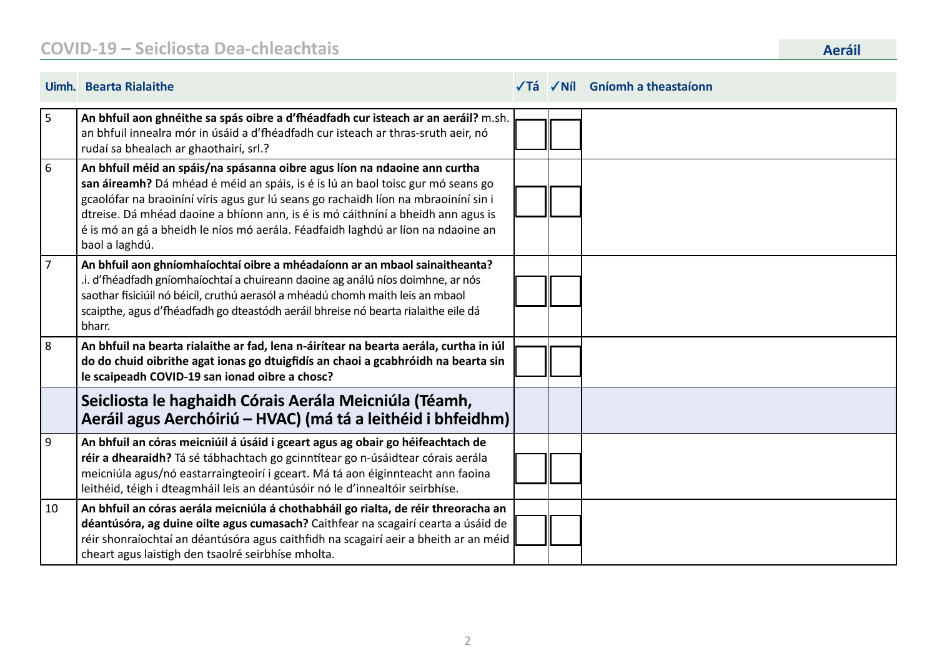|                | Uimh. Bearta Rialaithe                                                                                                                                                                                                                                                                                                                                                                                                                        |  | $\sqrt{I}$ á $\sqrt{N}$ il Gníomh a theastaíonn |
|----------------|-----------------------------------------------------------------------------------------------------------------------------------------------------------------------------------------------------------------------------------------------------------------------------------------------------------------------------------------------------------------------------------------------------------------------------------------------|--|-------------------------------------------------|
| 5              | An bhfuil aon ghnéithe sa spás oibre a d'fhéadfadh cur isteach ar an aeráil? m.sh.<br>an bhfuil innealra mór in úsáid a d'fhéadfadh cur isteach ar thras-sruth aeir, nó<br>rudaí sa bhealach ar ghaothairí, srl.?                                                                                                                                                                                                                             |  |                                                 |
| 6              | An bhfuil méid an spáis/na spásanna oibre agus líon na ndaoine ann curtha<br>san áireamh? Dá mhéad é méid an spáis, is é is lú an baol toisc gur mó seans go<br>gcaolófar na braoiníní víris agus gur lú seans go rachaidh líon na mbraoiníní sin i<br>dtreise. Dá mhéad daoine a bhíonn ann, is é is mó cáithníní a bheidh ann agus is<br>é is mó an gá a bheidh le níos mó aerála. Féadfaidh laghdú ar líon na ndaoine an<br>baol a laghdú. |  |                                                 |
| $\overline{7}$ | An bhfuil aon ghníomhaíochtaí oibre a mhéadaíonn ar an mbaol sainaitheanta?<br>i. d'fhéadfadh gníomhaíochtaí a chuireann daoine ag análú níos doimhne, ar nós<br>saothar fisiciúil nó béicíl, cruthú aerasól a mhéadú chomh maith leis an mbaol<br>scaipthe, agus d'fhéadfadh go dteastódh aeráil bhreise nó bearta rialaithe eile dá<br>bharr.                                                                                               |  |                                                 |
| 8              | An bhfuil na bearta rialaithe ar fad, lena n-áirítear na bearta aerála, curtha in iúl<br>do do chuid oibrithe agat ionas go dtuigfidís an chaoi a gcabhróidh na bearta sin<br>le scaipeadh COVID-19 san ionad oibre a chosc?                                                                                                                                                                                                                  |  |                                                 |
|                | Seicliosta le haghaidh Córais Aerála Meicniúla (Téamh,<br>Aeráil agus Aerchóiriú – HVAC) (má tá a leithéid i bhfeidhm)                                                                                                                                                                                                                                                                                                                        |  |                                                 |
| 9              | An bhfuil an córas meicniúil á úsáid i gceart agus ag obair go héifeachtach de<br>réir a dhearaidh? Tá sé tábhachtach go gcinntítear go n-úsáidtear córais aerála<br>meicniúla agus/nó eastarraingteoirí i gceart. Má tá aon éiginnteacht ann faoina<br>leithéid, téigh i dteagmháil leis an déantúsóir nó le d'innealtóir seirbhíse.                                                                                                         |  |                                                 |
| 10             | An bhfuil an córas aerála meicniúla á chothabháil go rialta, de réir threoracha an<br>déantúsóra, ag duine oilte agus cumasach? Caithfear na scagairí cearta a úsáid de<br>réir shonraíochtaí an déantúsóra agus caithfidh na scagairí aeir a bheith ar an méid<br>cheart agus laistigh den tsaolré seirbhíse mholta.                                                                                                                         |  |                                                 |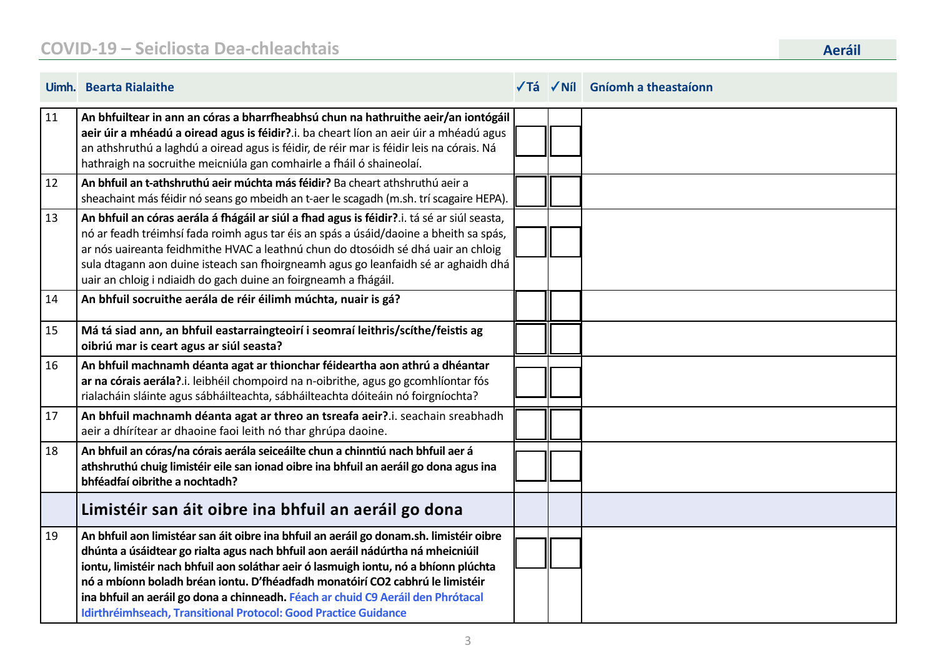|    | <b>Uimh.</b> Bearta Rialaithe                                                                                                                                                                                                                                                                                                                                                                                                                                                                              |  | √Tá √Níl Gníomh a theastaíonn |
|----|------------------------------------------------------------------------------------------------------------------------------------------------------------------------------------------------------------------------------------------------------------------------------------------------------------------------------------------------------------------------------------------------------------------------------------------------------------------------------------------------------------|--|-------------------------------|
| 11 | An bhfuiltear in ann an córas a bharrfheabhsú chun na hathruithe aeir/an iontógáil<br>aeir úir a mhéadú a oiread agus is féidir?.i. ba cheart líon an aeir úir a mhéadú agus<br>an athshruthú a laghdú a oiread agus is féidir, de réir mar is féidir leis na córais. Ná<br>hathraigh na socruithe meicniúla gan comhairle a fháil ó shaineolaí.                                                                                                                                                           |  |                               |
| 12 | An bhfuil an t-athshruthú aeir múchta más féidir? Ba cheart athshruthú aeir a<br>sheachaint más féidir nó seans go mbeidh an t-aer le scagadh (m.sh. trí scagaire HEPA).                                                                                                                                                                                                                                                                                                                                   |  |                               |
| 13 | An bhfuil an córas aerála á fhágáil ar siúl a fhad agus is féidir?.i. tá sé ar siúl seasta,<br>nó ar feadh tréimhsí fada roimh agus tar éis an spás a úsáid/daoine a bheith sa spás,<br>ar nós uaireanta feidhmithe HVAC a leathnú chun do dtosóidh sé dhá uair an chloig<br>sula dtagann aon duine isteach san fhoirgneamh agus go leanfaidh sé ar aghaidh dhá<br>uair an chloig i ndiaidh do gach duine an foirgneamh a fhágáil.                                                                         |  |                               |
| 14 | An bhfuil socruithe aerála de réir éilimh múchta, nuair is gá?                                                                                                                                                                                                                                                                                                                                                                                                                                             |  |                               |
| 15 | Má tá siad ann, an bhfuil eastarraingteoirí i seomraí leithris/scíthe/feistis ag<br>oibriú mar is ceart agus ar siúl seasta?                                                                                                                                                                                                                                                                                                                                                                               |  |                               |
| 16 | An bhfuil machnamh déanta agat ar thionchar féideartha aon athrú a dhéantar<br>ar na córais aerála?.i. leibhéil chompoird na n-oibrithe, agus go gcomhlíontar fós<br>rialacháin sláinte agus sábháilteachta, sábháilteachta dóiteáin nó foirgníochta?                                                                                                                                                                                                                                                      |  |                               |
| 17 | An bhfuil machnamh déanta agat ar threo an tsreafa aeir?.i. seachain sreabhadh<br>aeir a dhírítear ar dhaoine faoi leith nó thar ghrúpa daoine.                                                                                                                                                                                                                                                                                                                                                            |  |                               |
| 18 | An bhfuil an córas/na córais aerála seiceáilte chun a chinntiú nach bhfuil aer á<br>athshruthú chuig limistéir eile san ionad oibre ina bhfuil an aeráil go dona agus ina<br>bhféadfaí oibrithe a nochtadh?                                                                                                                                                                                                                                                                                                |  |                               |
|    | Limistéir san áit oibre ina bhfuil an aeráil go dona                                                                                                                                                                                                                                                                                                                                                                                                                                                       |  |                               |
| 19 | An bhfuil aon limistéar san áit oibre ina bhfuil an aeráil go donam.sh. limistéir oibre<br>dhúnta a úsáidtear go rialta agus nach bhfuil aon aeráil nádúrtha ná mheicniúil<br>iontu, limistéir nach bhfuil aon soláthar aeir ó lasmuigh iontu, nó a bhíonn plúchta<br>nó a mbíonn boladh bréan iontu. D'fhéadfadh monatóirí CO2 cabhrú le limistéir<br>ina bhfuil an aeráil go dona a chinneadh. Féach ar chuid C9 Aeráil den Phrótacal<br>Idirthréimhseach, Transitional Protocol: Good Practice Guidance |  |                               |